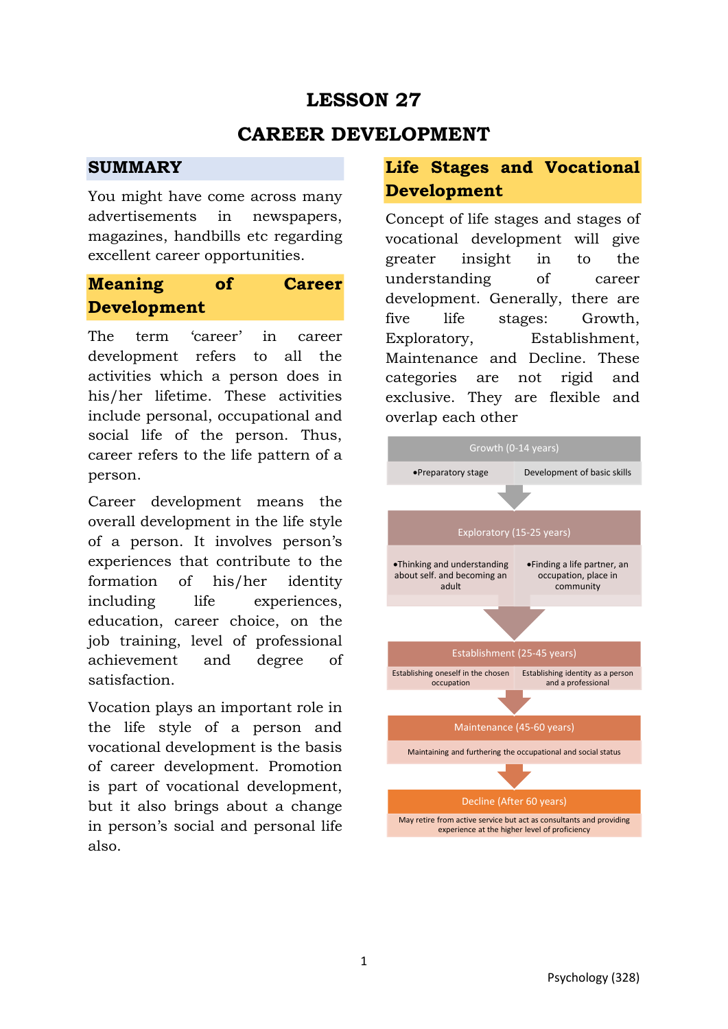# **LESSON 27**

## **CAREER DEVELOPMENT**

#### **SUMMARY**

You might have come across many advertisements in newspapers, magazines, handbills etc regarding excellent career opportunities.

## **Meaning of Career Development**

The term 'career' in career development refers to all the activities which a person does in his/her lifetime. These activities include personal, occupational and social life of the person. Thus, career refers to the life pattern of a person.

Career development means the overall development in the life style of a person. It involves person's experiences that contribute to the formation of his/her identity including life experiences, education, career choice, on the job training, level of professional achievement and degree of satisfaction.

Vocation plays an important role in the life style of a person and vocational development is the basis of career development. Promotion is part of vocational development, but it also brings about a change in person's social and personal life also.

## **Life Stages and Vocational Development**

Concept of life stages and stages of vocational development will give greater insight in to the understanding of career development. Generally, there are five life stages: Growth, Exploratory, Establishment, Maintenance and Decline. These categories are not rigid and exclusive. They are flexible and overlap each other

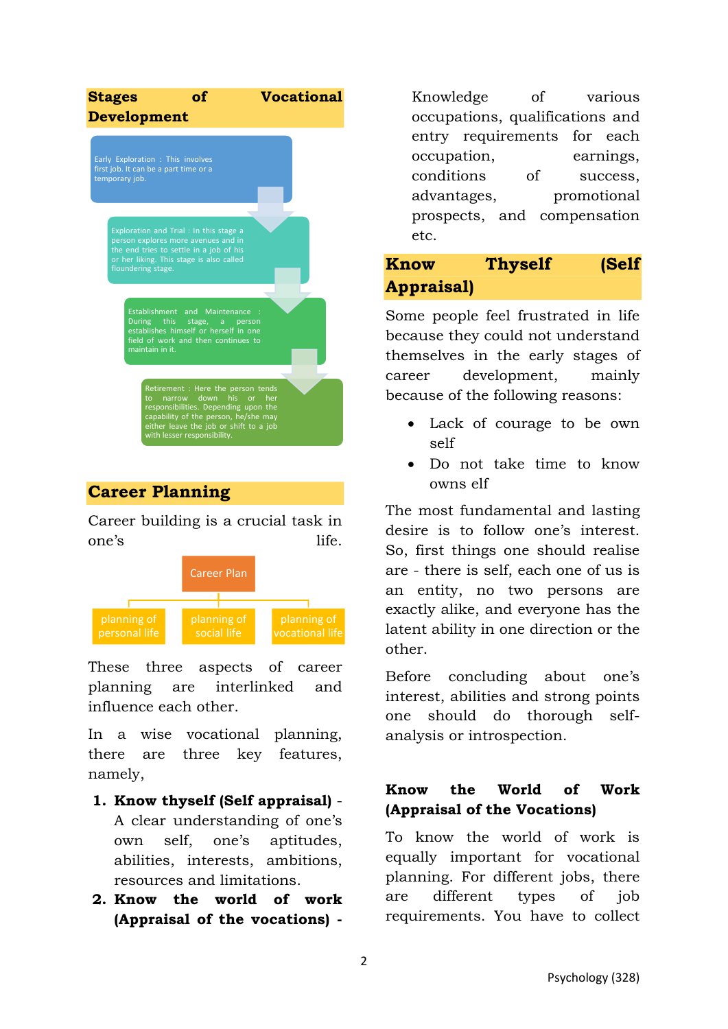

Career building is a crucial task in one's life.



These three aspects of career planning are interlinked and influence each other.

In a wise vocational planning, there are three key features, namely,

- **1. Know thyself (Self appraisal)** A clear understanding of one's own self, one's aptitudes, abilities, interests, ambitions, resources and limitations.
- **2. Know the world of work (Appraisal of the vocations) -**

Knowledge of various occupations, qualifications and entry requirements for each occupation, earnings, conditions of success, advantages, promotional prospects, and compensation etc.

## **Know Thyself (Self Appraisal)**

Some people feel frustrated in life because they could not understand themselves in the early stages of career development, mainly because of the following reasons:

- Lack of courage to be own self
- Do not take time to know owns elf

The most fundamental and lasting desire is to follow one's interest. So, first things one should realise are - there is self, each one of us is an entity, no two persons are exactly alike, and everyone has the latent ability in one direction or the other.

Before concluding about one's interest, abilities and strong points one should do thorough selfanalysis or introspection.

#### **Know the World of Work (Appraisal of the Vocations)**

To know the world of work is equally important for vocational planning. For different jobs, there are different types of job requirements. You have to collect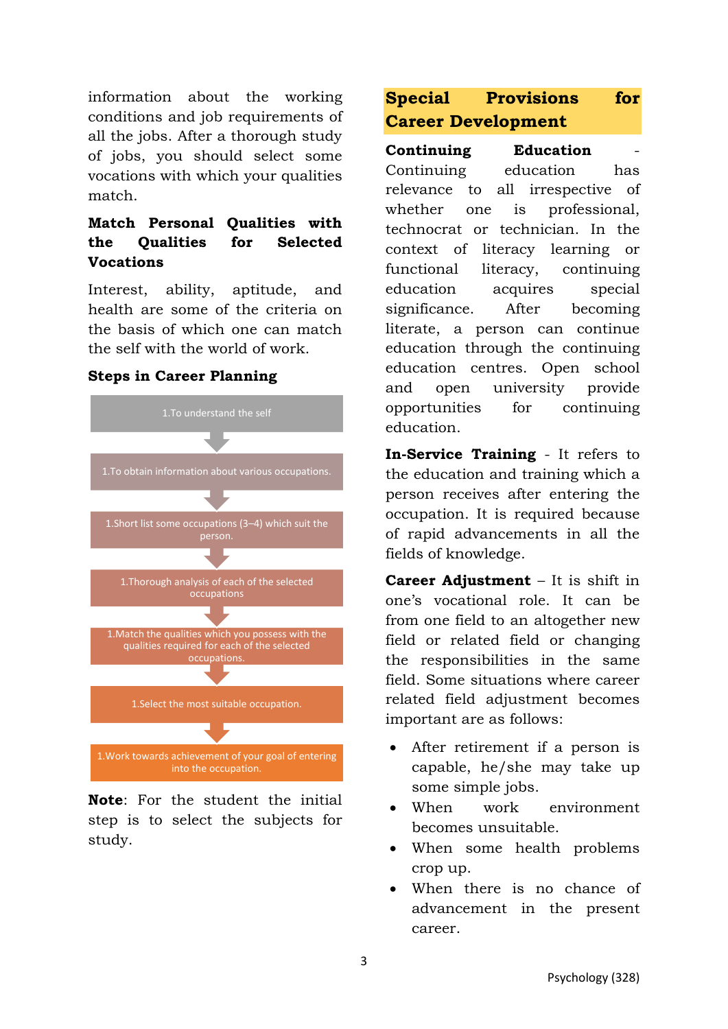information about the working conditions and job requirements of all the jobs. After a thorough study of jobs, you should select some vocations with which your qualities match.

#### **Match Personal Qualities with the Qualities for Selected Vocations**

Interest, ability, aptitude, and health are some of the criteria on the basis of which one can match the self with the world of work.

#### **Steps in Career Planning**



**Note**: For the student the initial step is to select the subjects for study.

### **Special Provisions for Career Development**

**Continuing Education** Continuing education has relevance to all irrespective of whether one is professional, technocrat or technician. In the context of literacy learning or functional literacy, continuing education acquires special significance. After becoming literate, a person can continue education through the continuing education centres. Open school and open university provide opportunities for continuing education.

**In-Service Training** - It refers to the education and training which a person receives after entering the occupation. It is required because of rapid advancements in all the fields of knowledge.

**Career Adjustment** – It is shift in one's vocational role. It can be from one field to an altogether new field or related field or changing the responsibilities in the same field. Some situations where career related field adjustment becomes important are as follows:

- After retirement if a person is capable, he/she may take up some simple jobs.
- When work environment becomes unsuitable.
- When some health problems crop up.
- When there is no chance of advancement in the present career.